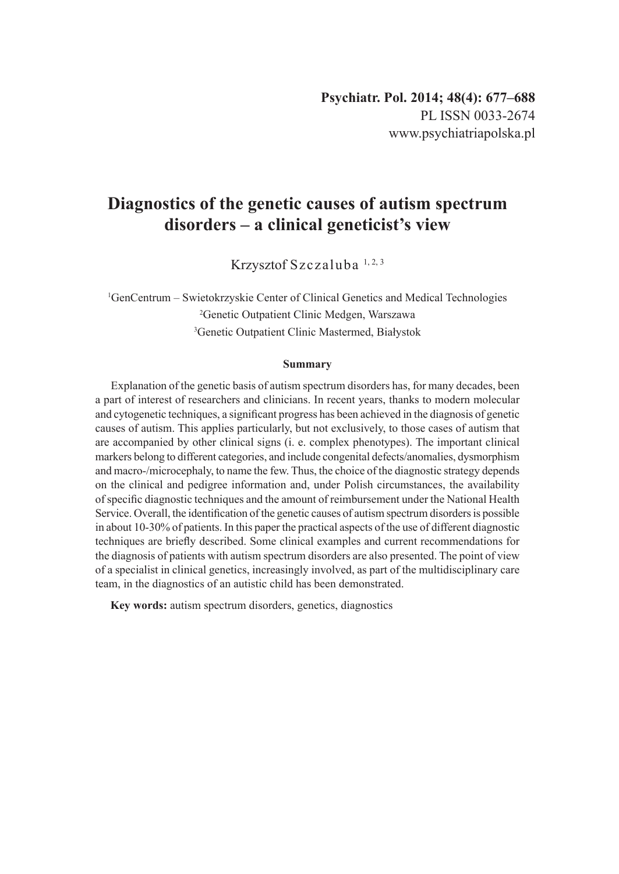# **Diagnostics of the genetic causes of autism spectrum disorders – a clinical geneticist's view**

Krzysztof Szczaluba 1, 2, 3

1 GenCentrum – Swietokrzyskie Center of Clinical Genetics and Medical Technologies 2 Genetic Outpatient Clinic Medgen, Warszawa 3 Genetic Outpatient Clinic Mastermed, Białystok

#### **Summary**

Explanation of the genetic basis of autism spectrum disorders has, for many decades, been a part of interest of researchers and clinicians. In recent years, thanks to modern molecular and cytogenetic techniques, a significant progress has been achieved in the diagnosis of genetic causes of autism. This applies particularly, but not exclusively, to those cases of autism that are accompanied by other clinical signs (i. e. complex phenotypes). The important clinical markers belong to different categories, and include congenital defects/anomalies, dysmorphism and macro-/microcephaly, to name the few. Thus, the choice of the diagnostic strategy depends on the clinical and pedigree information and, under Polish circumstances, the availability of specific diagnostic techniques and the amount of reimbursement under the National Health Service. Overall, the identification of the genetic causes of autism spectrum disorders is possible in about 10-30% of patients. In this paper the practical aspects of the use of different diagnostic techniques are briefly described. Some clinical examples and current recommendations for the diagnosis of patients with autism spectrum disorders are also presented. The point of view of a specialist in clinical genetics, increasingly involved, as part of the multidisciplinary care team, in the diagnostics of an autistic child has been demonstrated.

**Key words:** autism spectrum disorders, genetics, diagnostics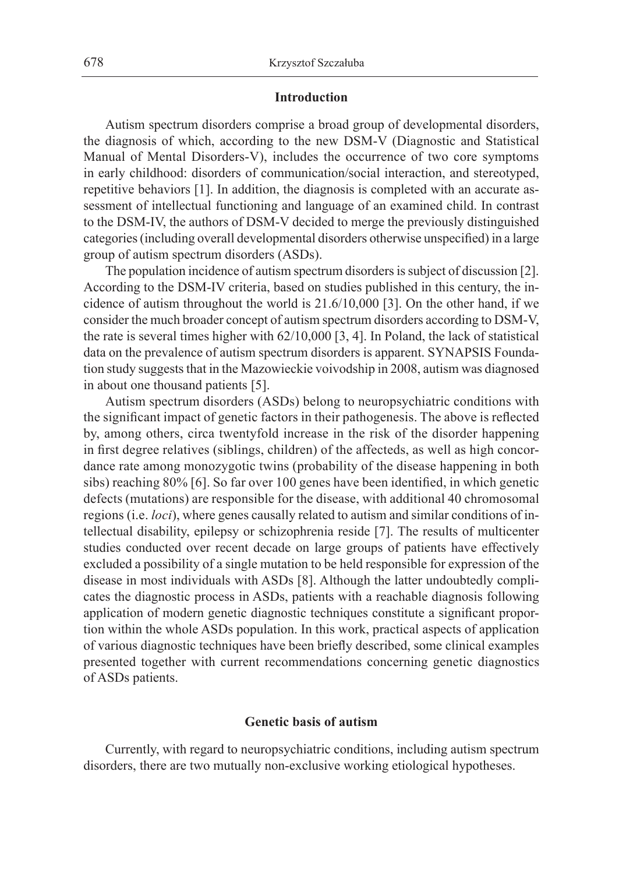#### **Introduction**

Autism spectrum disorders comprise a broad group of developmental disorders, the diagnosis of which, according to the new DSM-V (Diagnostic and Statistical Manual of Mental Disorders-V), includes the occurrence of two core symptoms in early childhood: disorders of communication/social interaction, and stereotyped, repetitive behaviors [1]. In addition, the diagnosis is completed with an accurate assessment of intellectual functioning and language of an examined child. In contrast to the DSM-IV, the authors of DSM-V decided to merge the previously distinguished categories (including overall developmental disorders otherwise unspecified) in a large group of autism spectrum disorders (ASDs).

The population incidence of autism spectrum disorders is subject of discussion [2]. According to the DSM-IV criteria, based on studies published in this century, the incidence of autism throughout the world is 21.6/10,000 [3]. On the other hand, if we consider the much broader concept of autism spectrum disorders according to DSM-V, the rate is several times higher with 62/10,000 [3, 4]. In Poland, the lack of statistical data on the prevalence of autism spectrum disorders is apparent. SYNAPSIS Foundation study suggests that in the Mazowieckie voivodship in 2008, autism was diagnosed in about one thousand patients [5].

Autism spectrum disorders (ASDs) belong to neuropsychiatric conditions with the significant impact of genetic factors in their pathogenesis. The above is reflected by, among others, circa twentyfold increase in the risk of the disorder happening in first degree relatives (siblings, children) of the affecteds, as well as high concordance rate among monozygotic twins (probability of the disease happening in both sibs) reaching 80% [6]. So far over 100 genes have been identified, in which genetic defects (mutations) are responsible for the disease, with additional 40 chromosomal regions (i.e. *loci*), where genes causally related to autism and similar conditions of intellectual disability, epilepsy or schizophrenia reside [7]. The results of multicenter studies conducted over recent decade on large groups of patients have effectively excluded a possibility of a single mutation to be held responsible for expression of the disease in most individuals with ASDs [8]. Although the latter undoubtedly complicates the diagnostic process in ASDs, patients with a reachable diagnosis following application of modern genetic diagnostic techniques constitute a significant proportion within the whole ASDs population. In this work, practical aspects of application of various diagnostic techniques have been briefly described, some clinical examples presented together with current recommendations concerning genetic diagnostics of ASDs patients.

#### **Genetic basis of autism**

Currently, with regard to neuropsychiatric conditions, including autism spectrum disorders, there are two mutually non-exclusive working etiological hypotheses.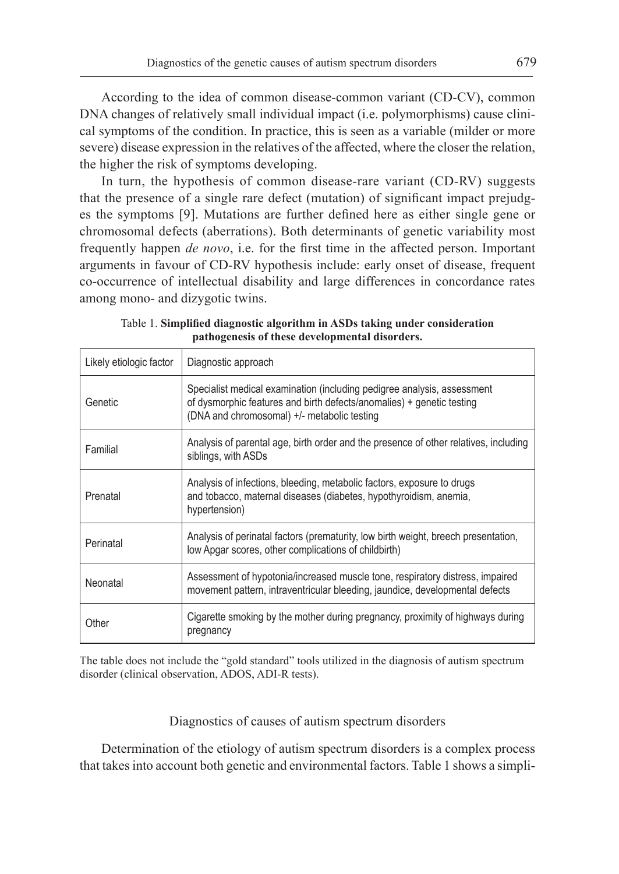According to the idea of common disease-common variant (CD-CV), common DNA changes of relatively small individual impact (i.e. polymorphisms) cause clinical symptoms of the condition. In practice, this is seen as a variable (milder or more severe) disease expression in the relatives of the affected, where the closer the relation, the higher the risk of symptoms developing.

In turn, the hypothesis of common disease-rare variant (CD-RV) suggests that the presence of a single rare defect (mutation) of significant impact prejudges the symptoms [9]. Mutations are further defined here as either single gene or chromosomal defects (aberrations). Both determinants of genetic variability most frequently happen *de novo*, i.e. for the first time in the affected person. Important arguments in favour of CD-RV hypothesis include: early onset of disease, frequent co-occurrence of intellectual disability and large differences in concordance rates among mono- and dizygotic twins.

| Likely etiologic factor | Diagnostic approach                                                                                                                                                                             |  |
|-------------------------|-------------------------------------------------------------------------------------------------------------------------------------------------------------------------------------------------|--|
| Genetic                 | Specialist medical examination (including pedigree analysis, assessment<br>of dysmorphic features and birth defects/anomalies) + genetic testing<br>(DNA and chromosomal) +/- metabolic testing |  |
| Familial                | Analysis of parental age, birth order and the presence of other relatives, including<br>siblings, with ASDs                                                                                     |  |
| Prenatal                | Analysis of infections, bleeding, metabolic factors, exposure to drugs<br>and tobacco, maternal diseases (diabetes, hypothyroidism, anemia,<br>hypertension)                                    |  |
| Perinatal               | Analysis of perinatal factors (prematurity, low birth weight, breech presentation,<br>low Apgar scores, other complications of childbirth)                                                      |  |
| Neonatal                | Assessment of hypotonia/increased muscle tone, respiratory distress, impaired<br>movement pattern, intraventricular bleeding, jaundice, developmental defects                                   |  |
| Other                   | Cigarette smoking by the mother during pregnancy, proximity of highways during<br>pregnancy                                                                                                     |  |

Table 1. **Simplified diagnostic algorithm in ASDs taking under consideration pathogenesis of these developmental disorders.** 

The table does not include the "gold standard" tools utilized in the diagnosis of autism spectrum disorder (clinical observation, ADOS, ADI-R tests).

Diagnostics of causes of autism spectrum disorders

Determination of the etiology of autism spectrum disorders is a complex process that takes into account both genetic and environmental factors. Table 1 shows a simpli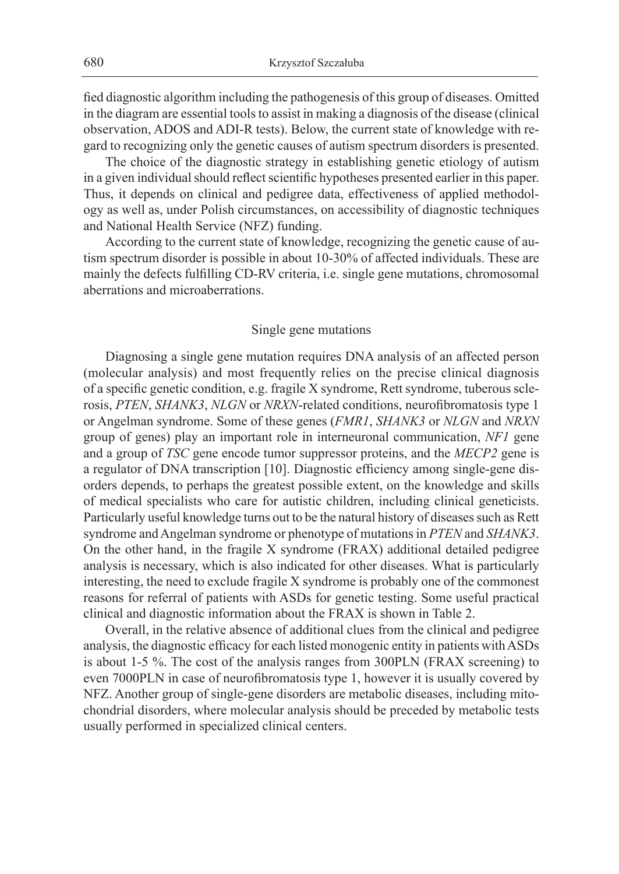fied diagnostic algorithm including the pathogenesis of this group of diseases. Omitted in the diagram are essential tools to assist in making a diagnosis of the disease (clinical observation, ADOS and ADI-R tests). Below, the current state of knowledge with regard to recognizing only the genetic causes of autism spectrum disorders is presented.

The choice of the diagnostic strategy in establishing genetic etiology of autism in a given individual should reflect scientific hypotheses presented earlier in this paper. Thus, it depends on clinical and pedigree data, effectiveness of applied methodology as well as, under Polish circumstances, on accessibility of diagnostic techniques and National Health Service (NFZ) funding.

According to the current state of knowledge, recognizing the genetic cause of autism spectrum disorder is possible in about 10-30% of affected individuals. These are mainly the defects fulfilling CD-RV criteria, i.e. single gene mutations, chromosomal aberrations and microaberrations.

# Single gene mutations

Diagnosing a single gene mutation requires DNA analysis of an affected person (molecular analysis) and most frequently relies on the precise clinical diagnosis of a specific genetic condition, e.g. fragile X syndrome, Rett syndrome, tuberous sclerosis, *PTEN*, *SHANK3*, *NLGN* or *NRXN*-related conditions, neurofibromatosis type 1 or Angelman syndrome. Some of these genes (*FMR1*, *SHANK3* or *NLGN* and *NRXN* group of genes) play an important role in interneuronal communication, *NF1* gene and a group of *TSC* gene encode tumor suppressor proteins, and the *MECP2* gene is a regulator of DNA transcription [10]. Diagnostic efficiency among single-gene disorders depends, to perhaps the greatest possible extent, on the knowledge and skills of medical specialists who care for autistic children, including clinical geneticists. Particularly useful knowledge turns out to be the natural history of diseases such as Rett syndrome and Angelman syndrome or phenotype of mutations in *PTEN* and *SHANK3*. On the other hand, in the fragile X syndrome (FRAX) additional detailed pedigree analysis is necessary, which is also indicated for other diseases. What is particularly interesting, the need to exclude fragile X syndrome is probably one of the commonest reasons for referral of patients with ASDs for genetic testing. Some useful practical clinical and diagnostic information about the FRAX is shown in Table 2.

Overall, in the relative absence of additional clues from the clinical and pedigree analysis, the diagnostic efficacy for each listed monogenic entity in patients with ASDs is about 1-5 %. The cost of the analysis ranges from 300PLN (FRAX screening) to even 7000PLN in case of neurofibromatosis type 1, however it is usually covered by NFZ. Another group of single-gene disorders are metabolic diseases, including mitochondrial disorders, where molecular analysis should be preceded by metabolic tests usually performed in specialized clinical centers.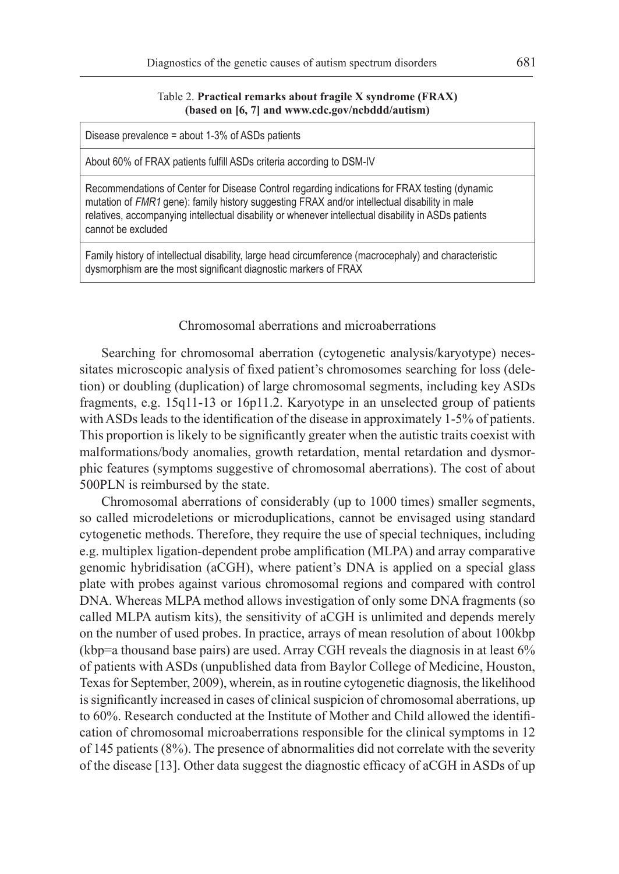#### Table 2. **Practical remarks about fragile X syndrome (FRAX) (based on [6, 7] and www.cdc.gov/ncbddd/autism)**

Disease prevalence = about 1-3% of ASDs patients

About 60% of FRAX patients fulfill ASDs criteria according to DSM-IV

Recommendations of Center for Disease Control regarding indications for FRAX testing (dynamic mutation of FMR1 gene): family history suggesting FRAX and/or intellectual disability in male relatives, accompanying intellectual disability or whenever intellectual disability in ASDs patients cannot be excluded

Family history of intellectual disability, large head circumference (macrocephaly) and characteristic dysmorphism are the most significant diagnostic markers of FRAX

# Chromosomal aberrations and microaberrations

Searching for chromosomal aberration (cytogenetic analysis/karyotype) necessitates microscopic analysis of fixed patient's chromosomes searching for loss (deletion) or doubling (duplication) of large chromosomal segments, including key ASDs fragments, e.g. 15q11-13 or 16p11.2. Karyotype in an unselected group of patients with ASDs leads to the identification of the disease in approximately 1-5% of patients. This proportion is likely to be significantly greater when the autistic traits coexist with malformations/body anomalies, growth retardation, mental retardation and dysmorphic features (symptoms suggestive of chromosomal aberrations). The cost of about 500PLN is reimbursed by the state.

Chromosomal aberrations of considerably (up to 1000 times) smaller segments, so called microdeletions or microduplications, cannot be envisaged using standard cytogenetic methods. Therefore, they require the use of special techniques, including e.g. multiplex ligation-dependent probe amplification (MLPA) and array comparative genomic hybridisation (aCGH), where patient's DNA is applied on a special glass plate with probes against various chromosomal regions and compared with control DNA. Whereas MLPA method allows investigation of only some DNA fragments (so called MLPA autism kits), the sensitivity of aCGH is unlimited and depends merely on the number of used probes. In practice, arrays of mean resolution of about 100kbp (kbp=a thousand base pairs) are used. Array CGH reveals the diagnosis in at least 6% of patients with ASDs (unpublished data from Baylor College of Medicine, Houston, Texas for September, 2009), wherein, as in routine cytogenetic diagnosis, the likelihood is significantly increased in cases of clinical suspicion of chromosomal aberrations, up to 60%. Research conducted at the Institute of Mother and Child allowed the identification of chromosomal microaberrations responsible for the clinical symptoms in 12 of 145 patients (8%). The presence of abnormalities did not correlate with the severity of the disease [13]. Other data suggest the diagnostic efficacy of aCGH in ASDs of up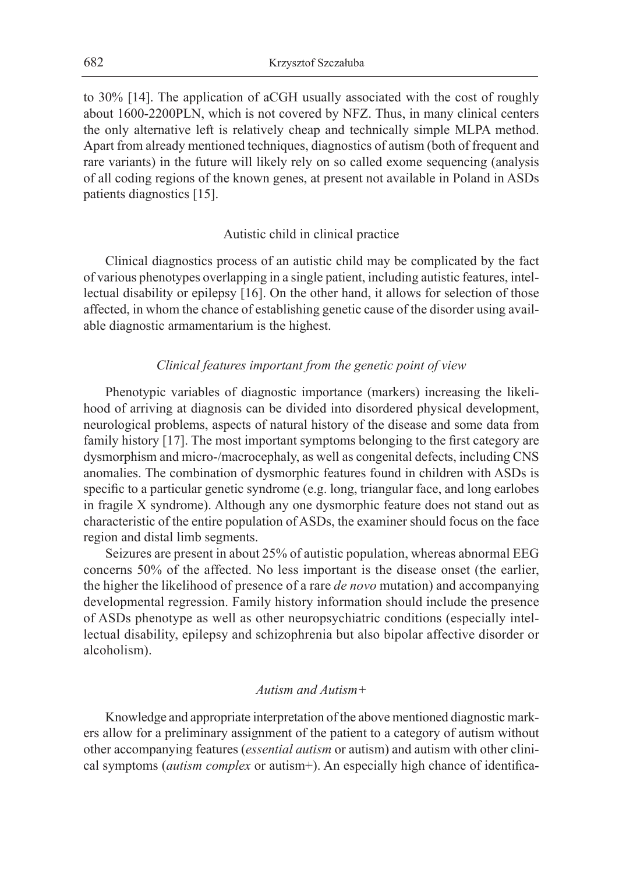to 30% [14]. The application of aCGH usually associated with the cost of roughly about 1600-2200PLN, which is not covered by NFZ. Thus, in many clinical centers the only alternative left is relatively cheap and technically simple MLPA method. Apart from already mentioned techniques, diagnostics of autism (both of frequent and rare variants) in the future will likely rely on so called exome sequencing (analysis of all coding regions of the known genes, at present not available in Poland in ASDs patients diagnostics [15].

## Autistic child in clinical practice

Clinical diagnostics process of an autistic child may be complicated by the fact of various phenotypes overlapping in a single patient, including autistic features, intellectual disability or epilepsy [16]. On the other hand, it allows for selection of those affected, in whom the chance of establishing genetic cause of the disorder using available diagnostic armamentarium is the highest.

## *Clinical features important from the genetic point of view*

Phenotypic variables of diagnostic importance (markers) increasing the likelihood of arriving at diagnosis can be divided into disordered physical development, neurological problems, aspects of natural history of the disease and some data from family history [17]. The most important symptoms belonging to the first category are dysmorphism and micro-/macrocephaly, as well as congenital defects, including CNS anomalies. The combination of dysmorphic features found in children with ASDs is specific to a particular genetic syndrome (e.g. long, triangular face, and long earlobes in fragile X syndrome). Although any one dysmorphic feature does not stand out as characteristic of the entire population of ASDs, the examiner should focus on the face region and distal limb segments.

Seizures are present in about 25% of autistic population, whereas abnormal EEG concerns 50% of the affected. No less important is the disease onset (the earlier, the higher the likelihood of presence of a rare *de novo* mutation) and accompanying developmental regression. Family history information should include the presence of ASDs phenotype as well as other neuropsychiatric conditions (especially intellectual disability, epilepsy and schizophrenia but also bipolar affective disorder or alcoholism).

### *Autism and Autism+*

Knowledge and appropriate interpretation of the above mentioned diagnostic markers allow for a preliminary assignment of the patient to a category of autism without other accompanying features (*essential autism* or autism) and autism with other clinical symptoms (*autism complex* or autism+). An especially high chance of identifica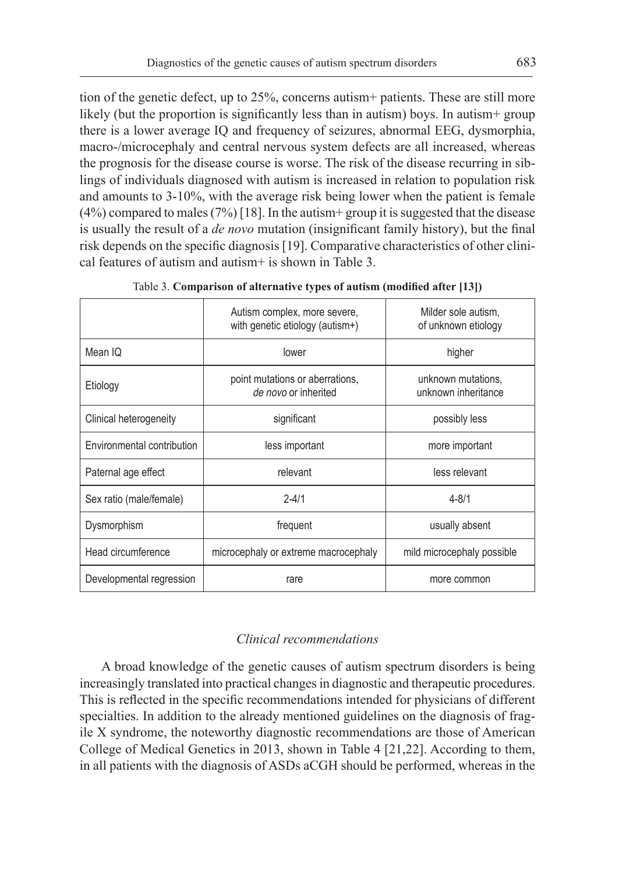tion of the genetic defect, up to 25%, concerns autism+ patients. These are still more likely (but the proportion is significantly less than in autism) boys. In autism+ group there is a lower average IQ and frequency of seizures, abnormal EEG, dysmorphia, macro-/microcephaly and central nervous system defects are all increased, whereas the prognosis for the disease course is worse. The risk of the disease recurring in siblings of individuals diagnosed with autism is increased in relation to population risk and amounts to 3-10%, with the average risk being lower when the patient is female  $(4\%)$  compared to males  $(7\%)$  [18]. In the autism + group it is suggested that the disease is usually the result of a *de novo* mutation (insignificant family history), but the final risk depends on the specific diagnosis [19]. Comparative characteristics of other clinical features of autism and autism+ is shown in Table 3.

|                            | Autism complex, more severe,<br>with genetic etiology (autism+) | Milder sole autism.<br>of unknown etiology |  |
|----------------------------|-----------------------------------------------------------------|--------------------------------------------|--|
| Mean IQ                    | lower                                                           | higher                                     |  |
| Etiology                   | point mutations or aberrations,<br>de novo or inherited         | unknown mutations.<br>unknown inheritance  |  |
| Clinical heterogeneity     | significant<br>possibly less                                    |                                            |  |
| Environmental contribution | less important                                                  | more important                             |  |
| Paternal age effect        | relevant                                                        | less relevant                              |  |
| Sex ratio (male/female)    | $2 - 4/1$                                                       | $4 - 8/1$                                  |  |
| Dysmorphism                | frequent                                                        | usually absent                             |  |
| Head circumference         | microcephaly or extreme macrocephaly                            | mild microcephaly possible                 |  |
| Developmental regression   | rare<br>more common                                             |                                            |  |

Table 3. **Comparison of alternative types of autism (modified after [13])**

# *Clinical recommendations*

A broad knowledge of the genetic causes of autism spectrum disorders is being increasingly translated into practical changes in diagnostic and therapeutic procedures. This is reflected in the specific recommendations intended for physicians of different specialties. In addition to the already mentioned guidelines on the diagnosis of fragile X syndrome, the noteworthy diagnostic recommendations are those of American College of Medical Genetics in 2013, shown in Table 4 [21,22]. According to them, in all patients with the diagnosis of ASDs aCGH should be performed, whereas in the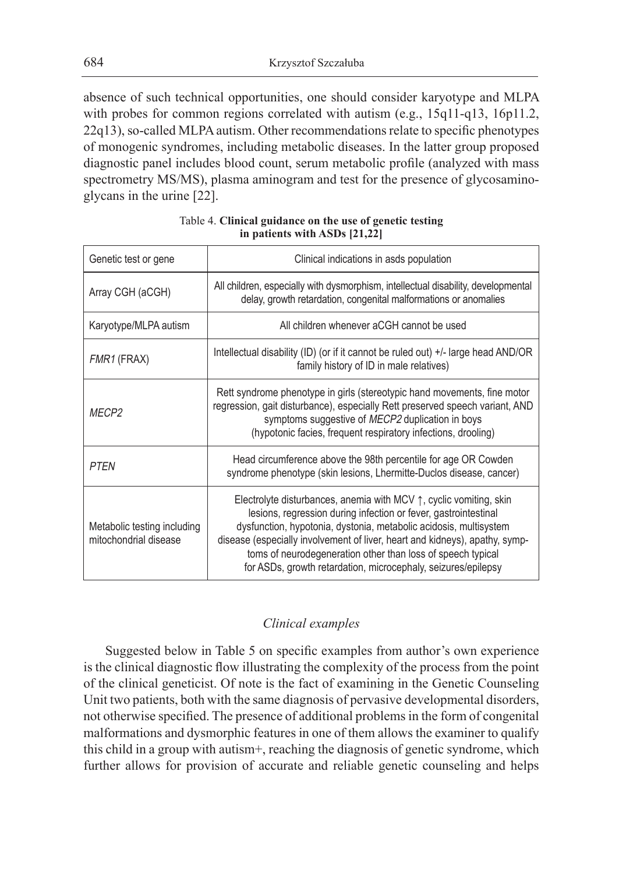absence of such technical opportunities, one should consider karyotype and MLPA with probes for common regions correlated with autism (e.g., 15q11-q13, 16p11.2, 22q13), so-called MLPA autism. Other recommendations relate to specific phenotypes of monogenic syndromes, including metabolic diseases. In the latter group proposed diagnostic panel includes blood count, serum metabolic profile (analyzed with mass spectrometry MS/MS), plasma aminogram and test for the presence of glycosaminoglycans in the urine [22].

| Genetic test or gene                                 | Clinical indications in asds population                                                                                                                                                                                                                                                                                                                                                                                             |  |
|------------------------------------------------------|-------------------------------------------------------------------------------------------------------------------------------------------------------------------------------------------------------------------------------------------------------------------------------------------------------------------------------------------------------------------------------------------------------------------------------------|--|
| Array CGH (aCGH)                                     | All children, especially with dysmorphism, intellectual disability, developmental<br>delay, growth retardation, congenital malformations or anomalies                                                                                                                                                                                                                                                                               |  |
| Karyotype/MLPA autism                                | All children whenever aCGH cannot be used                                                                                                                                                                                                                                                                                                                                                                                           |  |
| FMR1 (FRAX)                                          | Intellectual disability (ID) (or if it cannot be ruled out) $+/-$ large head AND/OR<br>family history of ID in male relatives)                                                                                                                                                                                                                                                                                                      |  |
| <b>MFCP2</b>                                         | Rett syndrome phenotype in girls (stereotypic hand movements, fine motor<br>regression, gait disturbance), especially Rett preserved speech variant, AND<br>symptoms suggestive of MECP2 duplication in boys<br>(hypotonic facies, frequent respiratory infections, drooling)                                                                                                                                                       |  |
| <b>PTFN</b>                                          | Head circumference above the 98th percentile for age OR Cowden<br>syndrome phenotype (skin lesions, Lhermitte-Duclos disease, cancer)                                                                                                                                                                                                                                                                                               |  |
| Metabolic testing including<br>mitochondrial disease | Electrolyte disturbances, anemia with MCV $\uparrow$ , cyclic vomiting, skin<br>lesions, regression during infection or fever, gastrointestinal<br>dysfunction, hypotonia, dystonia, metabolic acidosis, multisystem<br>disease (especially involvement of liver, heart and kidneys), apathy, symp-<br>toms of neurodegeneration other than loss of speech typical<br>for ASDs, growth retardation, microcephaly, seizures/epilepsy |  |

# Table 4. **Clinical guidance on the use of genetic testing in patients with ASDs [21,22]**

# *Clinical examples*

Suggested below in Table 5 on specific examples from author's own experience is the clinical diagnostic flow illustrating the complexity of the process from the point of the clinical geneticist. Of note is the fact of examining in the Genetic Counseling Unit two patients, both with the same diagnosis of pervasive developmental disorders, not otherwise specified. The presence of additional problems in the form of congenital malformations and dysmorphic features in one of them allows the examiner to qualify this child in a group with autism+, reaching the diagnosis of genetic syndrome, which further allows for provision of accurate and reliable genetic counseling and helps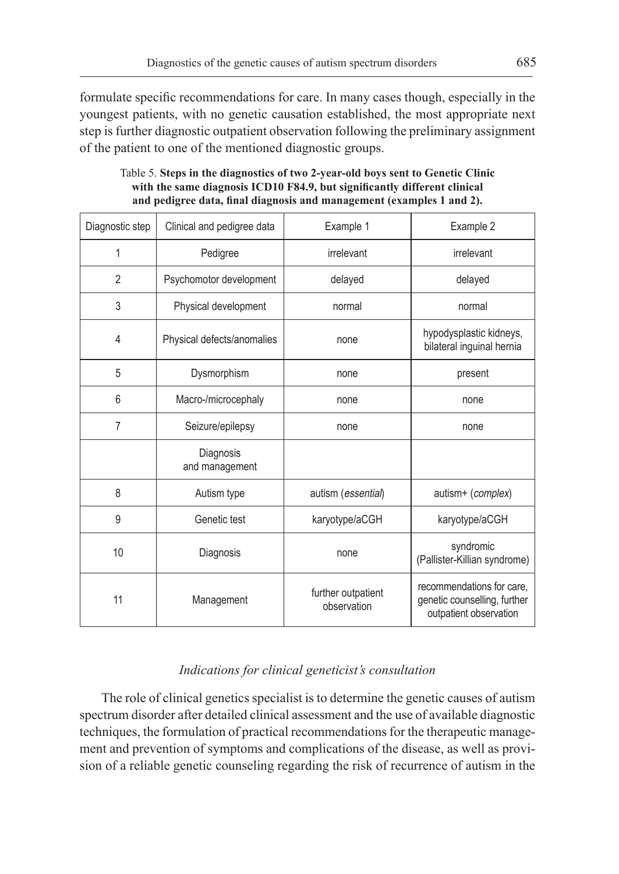formulate specific recommendations for care. In many cases though, especially in the youngest patients, with no genetic causation established, the most appropriate next step is further diagnostic outpatient observation following the preliminary assignment of the patient to one of the mentioned diagnostic groups.

| Diagnostic step | Clinical and pedigree data  | Example 1                         | Example 2                                                                           |
|-----------------|-----------------------------|-----------------------------------|-------------------------------------------------------------------------------------|
| 1               | Pedigree                    | irrelevant                        | irrelevant                                                                          |
| $\overline{2}$  | Psychomotor development     | delayed                           | delayed                                                                             |
| 3               | Physical development        | normal                            | normal                                                                              |
| 4               | Physical defects/anomalies  | none                              | hypodysplastic kidneys,<br>bilateral inguinal hernia                                |
| 5               | Dysmorphism                 | none                              | present                                                                             |
| 6               | Macro-/microcephaly         | none                              | none                                                                                |
| $\overline{7}$  | Seizure/epilepsy            | none                              | none                                                                                |
|                 | Diagnosis<br>and management |                                   |                                                                                     |
| 8               | Autism type                 | autism (essential)                | autism+ (complex)                                                                   |
| 9               | Genetic test                | karyotype/aCGH                    | karyotype/aCGH                                                                      |
| 10              | Diagnosis                   | none                              | syndromic<br>(Pallister-Killian syndrome)                                           |
| 11              | Management                  | further outpatient<br>observation | recommendations for care,<br>genetic counselling, further<br>outpatient observation |

Table 5. **Steps in the diagnostics of two 2-year-old boys sent to Genetic Clinic with the same diagnosis ICD10 F84.9, but significantly different clinical and pedigree data, final diagnosis and management (examples 1 and 2).**

# *Indications for clinical geneticist's consultation*

The role of clinical genetics specialist is to determine the genetic causes of autism spectrum disorder after detailed clinical assessment and the use of available diagnostic techniques, the formulation of practical recommendations for the therapeutic management and prevention of symptoms and complications of the disease, as well as provision of a reliable genetic counseling regarding the risk of recurrence of autism in the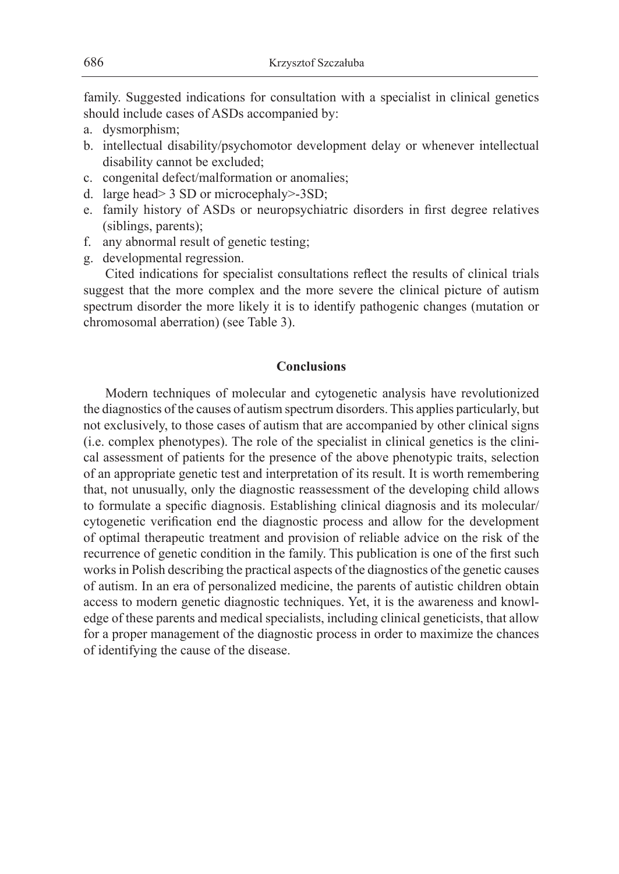family. Suggested indications for consultation with a specialist in clinical genetics should include cases of ASDs accompanied by:

- a. dysmorphism;
- b. intellectual disability/psychomotor development delay or whenever intellectual disability cannot be excluded;
- c. congenital defect/malformation or anomalies;
- d. large head> 3 SD or microcephaly>-3SD;
- e. family history of ASDs or neuropsychiatric disorders in first degree relatives (siblings, parents);
- f. any abnormal result of genetic testing;
- g. developmental regression.

Cited indications for specialist consultations reflect the results of clinical trials suggest that the more complex and the more severe the clinical picture of autism spectrum disorder the more likely it is to identify pathogenic changes (mutation or chromosomal aberration) (see Table 3).

#### **Conclusions**

Modern techniques of molecular and cytogenetic analysis have revolutionized the diagnostics of the causes of autism spectrum disorders. This applies particularly, but not exclusively, to those cases of autism that are accompanied by other clinical signs (i.e. complex phenotypes). The role of the specialist in clinical genetics is the clinical assessment of patients for the presence of the above phenotypic traits, selection of an appropriate genetic test and interpretation of its result. It is worth remembering that, not unusually, only the diagnostic reassessment of the developing child allows to formulate a specific diagnosis. Establishing clinical diagnosis and its molecular/ cytogenetic verification end the diagnostic process and allow for the development of optimal therapeutic treatment and provision of reliable advice on the risk of the recurrence of genetic condition in the family. This publication is one of the first such works in Polish describing the practical aspects of the diagnostics of the genetic causes of autism. In an era of personalized medicine, the parents of autistic children obtain access to modern genetic diagnostic techniques. Yet, it is the awareness and knowledge of these parents and medical specialists, including clinical geneticists, that allow for a proper management of the diagnostic process in order to maximize the chances of identifying the cause of the disease.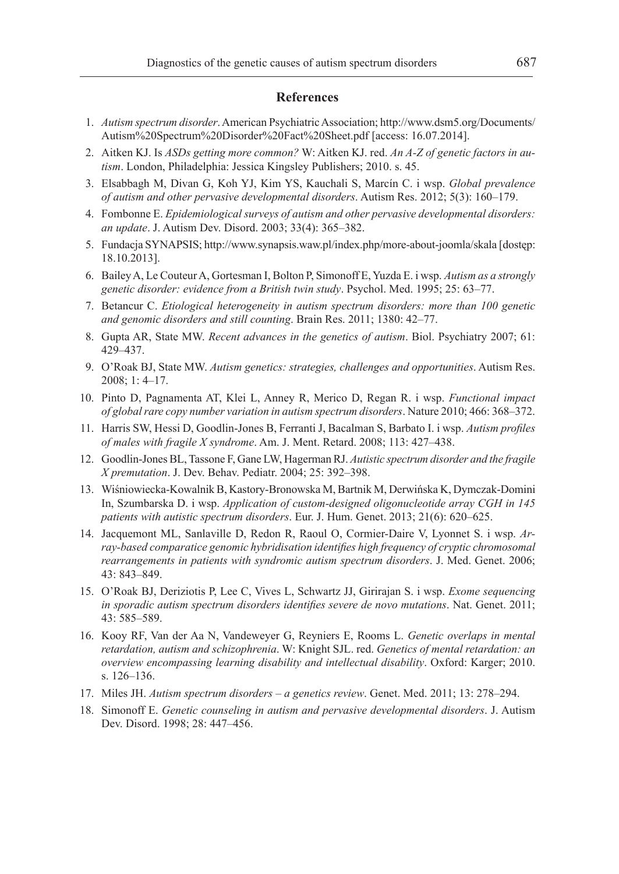#### **References**

- 1. *Autism spectrum disorder*. American Psychiatric Association; http://www.dsm5.org/Documents/ Autism%20Spectrum%20Disorder%20Fact%20Sheet.pdf [access: 16.07.2014].
- 2. Aitken KJ. Is *ASDs getting more common?* W: Aitken KJ. red. *An A-Z of genetic factors in autism*. London, Philadelphia: Jessica Kingsley Publishers; 2010. s. 45.
- 3. Elsabbagh M, Divan G, Koh YJ, Kim YS, Kauchali S, Marcín C. i wsp. *Global prevalence of autism and other pervasive developmental disorders*. Autism Res. 2012; 5(3): 160–179.
- 4. Fombonne E. *Epidemiological surveys of autism and other pervasive developmental disorders: an update*. J. Autism Dev. Disord. 2003; 33(4): 365–382.
- 5. Fundacja SYNAPSIS; http://www.synapsis.waw.pl/index.php/more-about-joomla/skala [dostęp: 18.10.2013].
- 6. Bailey A, Le Couteur A, Gortesman I, Bolton P, Simonoff E, Yuzda E. i wsp. *Autism as a strongly genetic disorder: evidence from a British twin study*. Psychol. Med. 1995; 25: 63–77.
- 7. Betancur C. *Etiological heterogeneity in autism spectrum disorders: more than 100 genetic and genomic disorders and still counting*. Brain Res. 2011; 1380: 42–77.
- 8. Gupta AR, State MW. *Recent advances in the genetics of autism*. Biol. Psychiatry 2007; 61: 429–437.
- 9. O'Roak BJ, State MW. *Autism genetics: strategies, challenges and opportunities*. Autism Res. 2008; 1: 4–17.
- 10. Pinto D, Pagnamenta AT, Klei L, Anney R, Merico D, Regan R. i wsp. *Functional impact of global rare copy number variation in autism spectrum disorders*. Nature 2010; 466: 368–372.
- 11. Harris SW, Hessi D, Goodlin-Jones B, Ferranti J, Bacalman S, Barbato I. i wsp. *Autism profiles of males with fragile X syndrome*. Am. J. Ment. Retard. 2008; 113: 427–438.
- 12. Goodlin-Jones BL, Tassone F, Gane LW, Hagerman RJ. *Autistic spectrum disorder and the fragile X premutation*. J. Dev. Behav. Pediatr. 2004; 25: 392–398.
- 13. Wiśniowiecka-Kowalnik B, Kastory-Bronowska M, Bartnik M, Derwińska K, Dymczak-Domini In, Szumbarska D. i wsp. *Application of custom-designed oligonucleotide array CGH in 145 patients with autistic spectrum disorders*. Eur. J. Hum. Genet. 2013; 21(6): 620–625.
- 14. Jacquemont ML, Sanlaville D, Redon R, Raoul O, Cormier-Daire V, Lyonnet S. i wsp. *Array-based comparatice genomic hybridisation identifies high frequency of cryptic chromosomal rearrangements in patients with syndromic autism spectrum disorders*. J. Med. Genet. 2006; 43: 843–849.
- 15. O'Roak BJ, Deriziotis P, Lee C, Vives L, Schwartz JJ, Girirajan S. i wsp. *Exome sequencing in sporadic autism spectrum disorders identifies severe de novo mutations*. Nat. Genet. 2011; 43: 585–589.
- 16. Kooy RF, Van der Aa N, Vandeweyer G, Reyniers E, Rooms L. *Genetic overlaps in mental retardation, autism and schizophrenia*. W: Knight SJL. red. *Genetics of mental retardation: an overview encompassing learning disability and intellectual disability*. Oxford: Karger; 2010. s. 126–136.
- 17. Miles JH. *Autism spectrum disorders a genetics review*. Genet. Med. 2011; 13: 278–294.
- 18. Simonoff E. *Genetic counseling in autism and pervasive developmental disorders*. J. Autism Dev. Disord. 1998; 28: 447–456.